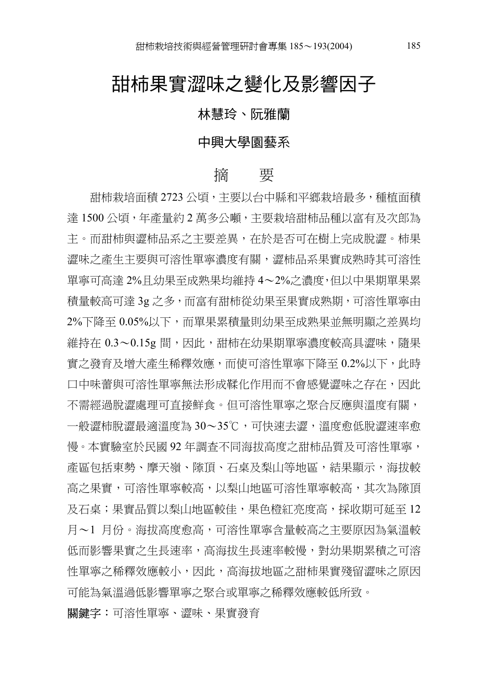## 甜柿果實澀味之變化及影響因子

#### 林慧玲、阮雅蘭

#### 中興大學園藝系

#### 摘 要

甜柿栽培面積 2723 公頃,主要以台中縣和平鄉栽培最多,種植面積 達 1500 公頃,年產量約 2 萬多公噸,主要栽培甜柿品種以富有及次郎為 主。而甜柿與澀柿品系之主要差異,在於是否可在樹上完成脫澀。柿果 澀味之產生主要與可溶性單寧濃度㈲關,澀柿品系果實成熟時其可溶性 單寧可高達 2%日幼果至成熟果均維持 4〜2%之濃度,但以中果期單果累 積量較高可達 3g 之多,而富有甜柿從幼果至果實成熟期,可溶性單寧由 2%下降至 0.05%以下,而單果累積量則幼果至成熟果並無明顯之差異均 維持在 0.3〜0.15g 間,因此,甜柿在幼果期單寧濃度較高具澀味,隨果 實之發育及增大產生稀釋效應,而使可溶性單寧下降至 0.2%以下,此時 口中味蕾與可溶性單寧無法形成鞣化作用而不會感覺澀味之存在,因此 不需經過脫澀處理可直接鮮食。但可溶性單寧之聚合反應與溫度有關, 一般澀柿脫澀最適溫度為 30〜35℃,可快速去澀,溫度愈低脫澀速率愈 慢。本實驗室於民國 92 年調查不同海拔高度之甜柿品質及可溶性單寧, 產區包括東勢、摩天嶺、隙頂、石桌及梨山等地區,結果顯示,海拔較 高之果實,可溶性單寧較高,以梨山地區可溶性單寧較高,其次為隙頂 及石桌;果實品質以梨山地區較佳,果色橙紅亮度高,採收期可延至12 月〜1 月份。海拔高度愈高,可溶性單寧含量較高之主要原因為氣溫較 低而影響果實之生長速率,高海拔生長速率較慢,對幼果期累積之可溶 性單寧之稀釋效應較小,因此,高海拔㆞區之甜柿果實殘留澀味之原因 可能為氣溫過低影響單寧之聚合或單寧之稀釋效應較低所致。

**關鍵字:**可溶性單寧、澀味、果實發育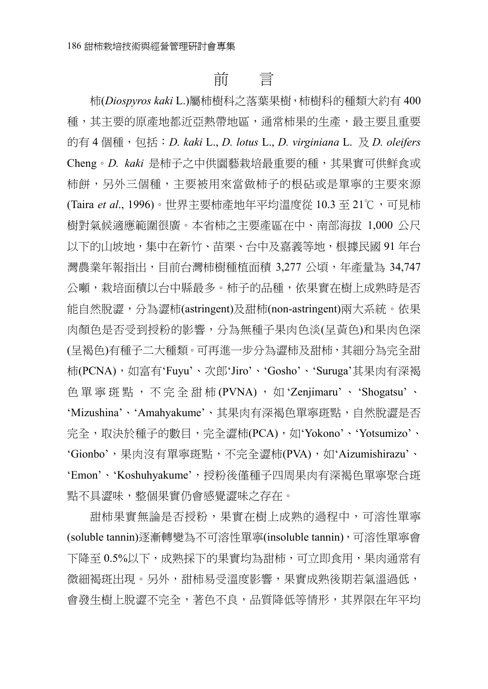## 前 言

柿(*Diospyros kaki* L.)屬柿樹科之落葉果樹,柿樹科的種類大約㈲ 400 種,其主要的原產地都近亞熱帶地區,通常柿果的生產,最主要且重要 的㈲ 4 個種,包括:*D. kaki* L., *D. lotus* L., *D. virginiana* L. 及 *D. oleifers* Cheng。*D. kaki* 是柿子之中供園藝栽培最重要的種,其果實可供鮮食或 柿餅,另外三個種,主要被用來當做柿子的根砧或是單寧的主要來源 (Taira et al., 1996)。世界主要柿產地年平均溫度從 10.3 至 21℃,可見柿 樹對氣候適應範圍很廣。本省柿之主要產區在中、南部海拔 1,000 公尺 以下的山坡地,集中在新竹、苗栗、台中及嘉義等地,根據民國 91 年台 灣農業年報指出,目前台灣柿樹種植面積 3,277 公頃,年產量為 34,747 公噸,栽培面積以台中縣最多。柿子的品種,依果實在樹上成熟時是否 能自然脫澀,分為澀柿(astringent)及甜柿(non-astringent)兩大系統。依果 肉顏色是否受到授粉的影響,分為無種子果肉色淡(呈黃色)和果肉色深 (呈褐色)有種子二大種類。可再進一步分為澀柿及甜柿,其細分為完全甜 柿(PCNA),如富有'Fuyu'、次郎'Jiro'、'Gosho'、'Suruga'其果肉有深褐 色單寧斑點,不完全甜柿 (PVNA) , 如 'Zenjimaru' 、 'Shogatsu' 、 'Mizushina'、'Amahyakume'、其果肉有深褐色單寧斑點,自然脫澀是否 完全,取決於種子的數目,完全澀柿(PCA),如'Yokono'、'Yotsumizo'、 'Gionbo',果肉沒有單寧斑點,不完全澀柿(PVA),如'Aizumishirazu'、 'Emon'、'Koshuhyakume',授粉後僅種子四周果肉有深褐色單寧聚合斑 點不具澀味,整個果實仍會感覺澀味之存在。

甜柿果實無論是否授粉,果實在樹上成熟的過程中,可溶性單寧 (soluble tannin)逐漸轉變為不可溶性單寧(insoluble tannin),可溶性單寧會 下降至 0.5%以下,成熟採下的果實均為甜柿,可立即食用,果肉通常有 微細褐斑出現。另外,甜柿易受溫度影響,果實成熟後期若氣溫過低, 會發生樹上脫澀不完全,著色不良,品質降低等情形,其界限在年平均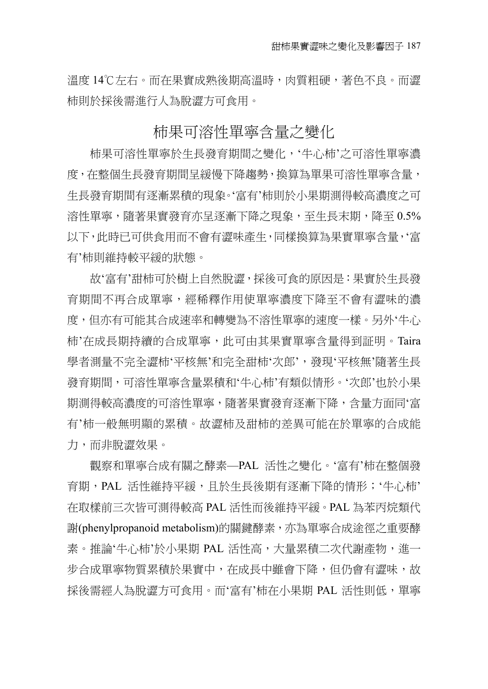溫度 14℃左右。而在果實成熟後期高溫時,肉質粗硬,著色不良。而澀 柿則於採後需進行人為脫澀方可食用。

#### 柿果可溶性單寧含量之變化

柿果可溶性單寧於生長發育期間之變化,'牛心柿'之可溶性單寧濃 度,在整個生長發育期間呈緩慢下降趨勢,換算為單果可溶性單寧含量, 牛長發育期間有逐漸累積的現象。'富有'柿則於小果期測得較高濃度之可 溶性單寧,隨著果實發育亦呈逐漸下降之現象,至生長末期,降至 0.5% 以下,此時已可供食用而不會有澀味產牛,同樣換算為果實單寧含量,'富 ㈲'柿則維持較平緩的狀態。

故'富有'甜柿可於樹上自然脫澀,採後可食的原因是:果實於生長發 育期間不再合成單寧,經稀釋作用使單寧濃度㆘降㉃不會㈲澀味的濃 度,但亦有可能其合成速率和轉變為不溶性單寧的速度乛樣。另外'牛心 柿'在成長期持續的合成單寧,此可由其果實單寧含量得到証明。Taira 學者測量不完全澀柿'平核無'和完全甜柿'次郎',發現'平核無'隨著生長 發育期間,可溶性單寧含量累積和'牛心柿'㈲類似情形。'次郎'也於小果 期測得較高濃度的可溶性單寧,隨著果實發育逐漸㆘降,含量方面同'富 ㈲'柿㆒般無明顯的累積。故澀柿及甜柿的差異可能在於單寧的合成能 力,而非脫澀效果。

觀察和單寧合成有關之酵素—PAL 活性之變化。'富有'柿在整個發 育期,PAL 活性維持平緩,目於生長後期有涿漸下降的情形;'牛心柿' 在取樣前三次皆可測得較高 PAL 活性而後維持平緩。PAL 為苯丙烷類代 謝(phenylpropanoid metabolism)的關鍵酵素,亦為單寧合成途徑之重要酵 素。推論'牛心柿'於小果期 PAL 活性高,大量累積二次代謝產物,淮一 步合成單寧物質累積於果實中,在成長中雖會下降,但仍會有澀味,故 採後需經人為脫澀方可食用。而'富有'柿在小果期 PAL 活性則低,單寧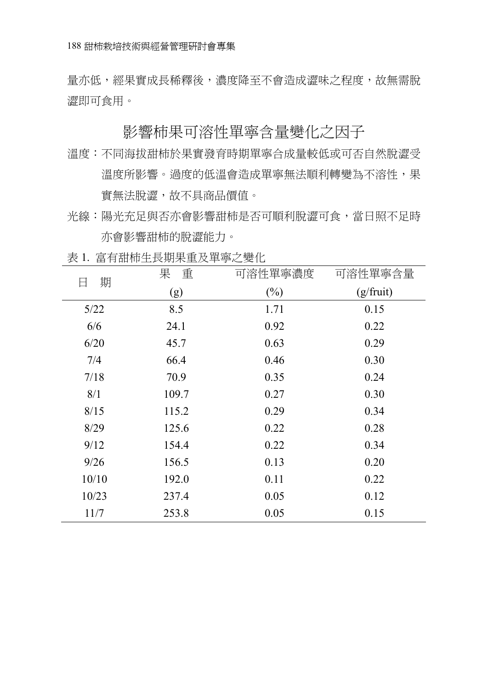量亦低,經果實成長稀釋後,濃度降至不會造成澀味之程度,故無需脫 澀即可食用。

#### 影響柿果可溶性單寧含量變化之因子

- 溫度:不同海拔甜柿於果實發育時期單寧合成量較低或可否自然脫澀受 溫度所影響。渦度的低溫會造成單寧無法順利轉變為不溶性,果 實無法脫澀,故不具商品價值。
- 光線:陽光充足與否亦會影響甜柿是否可順利脫澀可食,當日照不足時 亦會影響甜柿的脫澀能力。

㈰ 期 果 重 (g) 可溶性單寧濃度  $(%)$ 可溶性單寧含量 (g/fruit) 5/22 8.5 1.71 0.15 6/6 24.1 0.92 0.22 6/20 45.7 0.63 0.29 7/4 66.4 0.46 0.30 7/18 70.9 0.35 0.24 8/1 109.7 0.27 0.30 8/15 115.2 0.29 0.34 8/29 125.6 0.22 0.28 9/12 154.4 0.22 0.34 9/26 156.5 0.13 0.20 10/10 192.0 0.11 0.22 10/23 237.4 0.05 0.12 11/7 253.8 0.05 0.15

表 1. 富有甜柿生長期果重及單寧之變化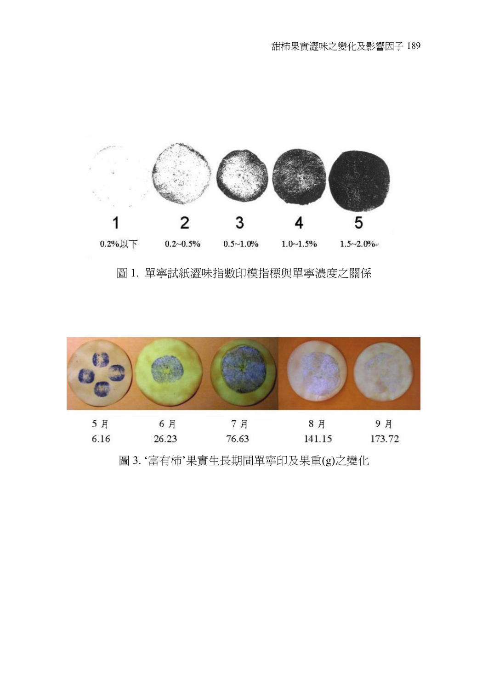

圖 1. 單寧試紙澀味指數㊞模指標與單寧濃度之關係



圖 3. '富有柿'果實生長期間單寧印及果重(g)之變化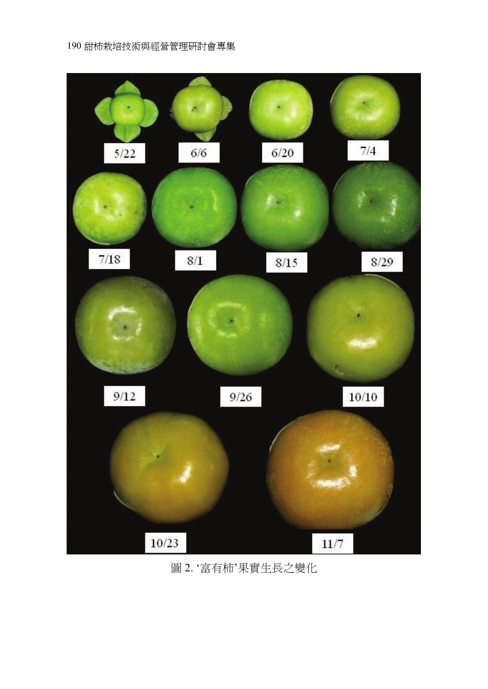

#### 圖 2. '富㈲柿'果實生長之變化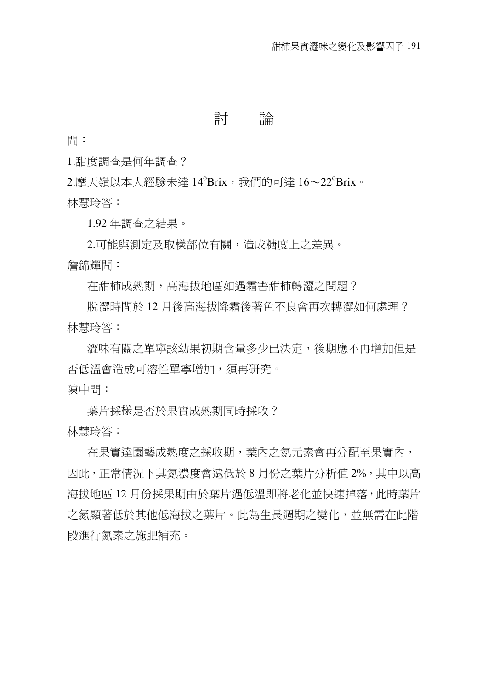## 討 論

問:

1.甜度調查是何年調查?

2.摩天嶺以本人經驗未達 14°Brix,我們的可達 16~22°Brix。 林慧玲答:

1.92 年調查之結果。

2.可能與測定及取樣部位有關,造成糖度上之差異。 詹錦輝問:

在甜柿成熟期,高海拔㆞區如遇霜害甜柿轉澀之問題?

脫澀時間於 12 月後高海拔降霜後著色不良會再次轉澀如何處理? 林慧玲答:

澀味有關之單寧該幼果初期含量多少已決定,後期應不再增加但是 否低溫會造成可溶性單寧增加,須再研究。 陳中問:

葉片採様是否於果實成熟期同時採收? 林慧玲答:

在果實達園藝成熟度之採收期,葉內之氮元素會再分配㉃果實內, 因此,正常情況下其氮濃度會遠低於 8 月份之葉片分析值 2%, 其中以高 海拔地區 12 月份採果期由於葉片遇低溫即將老化並快速掉落,此時葉片 之氮顯著低於其他低海拔之葉片。此為生長週期之變化,並無需在此階 段進行氮素之施肥補充。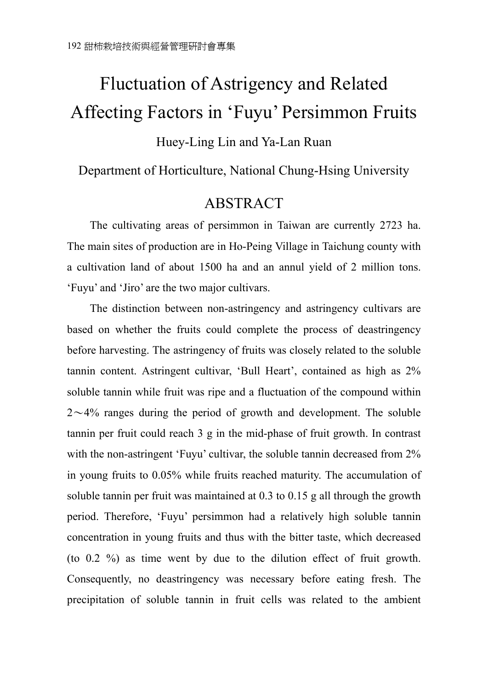# Fluctuation of Astrigency and Related Affecting Factors in 'Fuyu' Persimmon Fruits

#### Huey-Ling Lin and Ya-Lan Ruan

#### Department of Horticulture, National Chung-Hsing University

### ABSTRACT

The cultivating areas of persimmon in Taiwan are currently 2723 ha. The main sites of production are in Ho-Peing Village in Taichung county with a cultivation land of about 1500 ha and an annul yield of 2 million tons. 'Fuyu' and 'Jiro' are the two major cultivars.

The distinction between non-astringency and astringency cultivars are based on whether the fruits could complete the process of deastringency before harvesting. The astringency of fruits was closely related to the soluble tannin content. Astringent cultivar, 'Bull Heart', contained as high as 2% soluble tannin while fruit was ripe and a fluctuation of the compound within  $2 \sim 4\%$  ranges during the period of growth and development. The soluble tannin per fruit could reach 3 g in the mid-phase of fruit growth. In contrast with the non-astringent 'Fuyu' cultivar, the soluble tannin decreased from 2% in young fruits to 0.05% while fruits reached maturity. The accumulation of soluble tannin per fruit was maintained at 0.3 to 0.15 g all through the growth period. Therefore, 'Fuyu' persimmon had a relatively high soluble tannin concentration in young fruits and thus with the bitter taste, which decreased (to 0.2 %) as time went by due to the dilution effect of fruit growth. Consequently, no deastringency was necessary before eating fresh. The precipitation of soluble tannin in fruit cells was related to the ambient